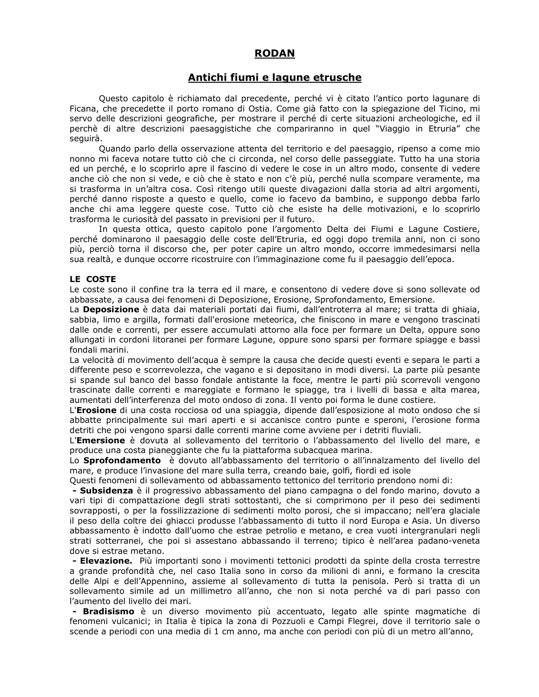# **RODAN**

## Antichi fiumi e lagune etrusche

Questo capitolo è richiamato dal precedente, perché vi è citato l'antico porto lagunare di Ficana, che precedette il porto romano di Ostia. Come già fatto con la spiegazione del Ticino, mi servo delle descrizioni geografiche, per mostrare il perché di certe situazioni archeologiche, ed il perchè di altre descrizioni paesaggistiche che compariranno in quel "Viaggio in Etruria" che seguirà.

Quando parlo della osservazione attenta del territorio e del paesaggio, ripenso a come mio nonno mi faceva notare tutto ciò che ci circonda, nel corso delle passeggiate. Tutto ha una storia ed un perché, e lo scoprirlo apre il fascino di vedere le cose in un altro modo, consente di vedere anche ciò che non si vede, e ciò che è stato e non c'è più, perché nulla scompare veramente, ma si trasforma in un'altra cosa. Così ritengo utili queste divagazioni dalla storia ad altri argomenti, perché danno risposte a questo e quello, come io facevo da bambino, e suppongo debba farlo anche chi ama leggere queste cose. Tutto ciò che esiste ha delle motivazioni, e lo scoprirlo trasforma le curiosità del passato in previsioni per il futuro.

In questa ottica, questo capitolo pone l'argomento Delta dei Fiumi e Lagune Costiere, perché dominarono il paesaggio delle coste dell'Etruria, ed oggi dopo tremila anni, non ci sono più, perciò torna il discorso che, per poter capire un altro mondo, occorre immedesimarsi nella sua realtà, e dunque occorre ricostruire con l'immaginazione come fu il paesaggio dell'epoca.

#### LE COSTE

Le coste sono il confine tra la terra ed il mare, e consentono di vedere dove si sono sollevate od abbassate, a causa dei fenomeni di Deposizione, Erosione, Sprofondamento, Emersione.

La Deposizione è data dai materiali portati dai fiumi, dall'entroterra al mare; si tratta di ghiaia, sabbia, limo e argilla, formati dall'erosione meteorica, che finiscono in mare e vengono trascinati dalle onde e correnti, per essere accumulati attorno alla foce per formare un Delta, oppure sono allungati in cordoni litoranei per formare Lagune, oppure sono sparsi per formare spiagge e bassi fondali marini.

La velocità di movimento dell'acqua è sempre la causa che decide questi eventi e separa le parti a differente peso e scorrevolezza, che vagano e si depositano in modi diversi. La parte più pesante si spande sul banco del basso fondale antistante la foce, mentre le parti più scorrevoli vengono trascinate dalle correnti e mareggiate e formano le spiagge, tra i livelli di bassa e alta marea, aumentati dell'interferenza del moto ondoso di zona. Il vento poi forma le dune costiere.

L'Erosione di una costa rocciosa od una spiaggia, dipende dall'esposizione al moto ondoso che si abbatte principalmente sui mari aperti e si accanisce contro punte e speroni, l'erosione forma detriti che poi vengono sparsi dalle correnti marine come avviene per i detriti fluviali.

L'**Emersione** è dovuta al sollevamento del territorio o l'abbassamento del livello del mare, e produce una costa pianeggiante che fu la piattaforma subacquea marina.

Lo Sprofondamento è dovuto all'abbassamento del territorio o all'innalzamento del livello del mare, e produce l'invasione del mare sulla terra, creando baie, golfi, fiordi ed isole

Ouesti fenomeni di sollevamento od abbassamento tettonico del territorio prendono nomi di:

- Subsidenza è il progressivo abbassamento del piano campagna o del fondo marino, dovuto a vari tipi di compattazione degli strati sottostanti, che si comprimono per il peso dei sedimenti sovrapposti, o per la fossilizzazione di sedimenti molto porosi, che si impaccano; nell'era glaciale il peso della coltre dei ghiacci produsse l'abbassamento di tutto il nord Europa e Asia. Un diverso abbassamento è indotto dall'uomo che estrae petrolio e metano, e crea vuoti intergranulari negli strati sotterranei, che poi si assestano abbassando il terreno; tipico è nell'area padano-veneta dove si estrae metano.

- Elevazione. Più importanti sono i movimenti tettonici prodotti da spinte della crosta terrestre a grande profondità che, nel caso Italia sono in corso da milioni di anni, e formano la crescita delle Alpi e dell'Appennino, assieme al sollevamento di tutta la penisola. Però si tratta di un sollevamento simile ad un millimetro all'anno, che non si nota perché va di pari passo con l'aumento del livello dei mari.

- Bradisismo è un diverso movimento più accentuato, legato alle spinte magmatiche di fenomeni vulcanici; in Italia è tipica la zona di Pozzuoli e Campi Flegrei, dove il territorio sale o scende a periodi con una media di 1 cm anno, ma anche con periodi con più di un metro all'anno,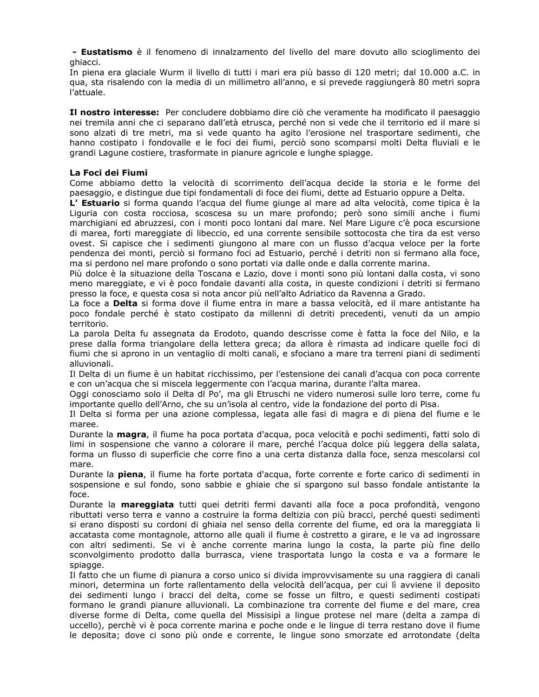- Eustatismo è il fenomeno di innalzamento del livello del mare dovuto allo scioglimento dei ghiacci.

In piena era glaciale Wurm il livello di tutti i mari era più basso di 120 metri; dal 10.000 a.C. in qua, sta risalendo con la media di un millimetro all'anno, e si prevede raggiungerà 80 metri sopra l'attuale.

Il nostro interesse: Per concludere dobbiamo dire ciò che veramente ha modificato il paesaggio nei tremila anni che ci separano dall'età etrusca, perché non si vede che il territorio ed il mare si sono alzati di tre metri, ma si vede quanto ha agito l'erosione nel trasportare sedimenti, che hanno costipato i fondovalle e le foci dei fiumi, perciò sono scomparsi molti Delta fluviali e le grandi Lagune costiere, trasformate in pianure agricole e lunghe spiagge.

### La Foci dei Fiumi

Come abbiamo detto la velocità di scorrimento dell'acqua decide la storia e le forme del paesaggio, e distingue due tipi fondamentali di foce dei fiumi, dette ad Estuario oppure a Delta.

L' Estuario si forma quando l'acqua del fiume giunge al mare ad alta velocità, come tipica è la Liguria con costa rocciosa, scoscesa su un mare profondo; però sono simili anche i fiumi marchigiani ed abruzzesi, con i monti poco lontani dal mare. Nel Mare Ligure c'è poca escursione di marea, forti mareggiate di libeccio, ed una corrente sensibile sottocosta che tira da est verso ovest. Si capisce che i sedimenti giungono al mare con un flusso d'acqua veloce per la forte pendenza dei monti, perciò si formano foci ad Estuario, perché i detriti non si fermano alla foce, ma si perdono nel mare profondo o sono portati via dalle onde e dalla corrente marina.

Più dolce è la situazione della Toscana e Lazio, dove i monti sono più lontani dalla costa, vi sono meno mareggiate, e vi è poco fondale davanti alla costa, in queste condizioni i detriti si fermano presso la foce, e questa cosa si nota ancor più nell'alto Adriatico da Ravenna a Grado.

La foce a Delta si forma dove il fiume entra in mare a bassa velocità, ed il mare antistante ha poco fondale perché è stato costipato da millenni di detriti precedenti, venuti da un ampio territorio.

La parola Delta fu assegnata da Erodoto, quando descrisse come è fatta la foce del Nilo, e la prese dalla forma triangolare della lettera greca; da allora è rimasta ad indicare quelle foci di fiumi che si aprono in un ventaglio di molti canali, e sfociano a mare tra terreni piani di sedimenti alluvionali.

Il Delta di un fiume è un habitat ricchissimo, per l'estensione dei canali d'acqua con poca corrente e con un'acqua che si miscela leggermente con l'acqua marina, durante l'alta marea.

Oggi conosciamo solo il Delta dl Po', ma gli Etruschi ne videro numerosi sulle loro terre, come fu importante quello dell'Arno, che su un'isola al centro, vide la fondazione del porto di Pisa.

Il Delta si forma per una azione complessa, legata alle fasi di magra e di piena del fiume e le maree.

Durante la magra, il fiume ha poca portata d'acqua, poca velocità e pochi sedimenti, fatti solo di limi in sospensione che vanno a colorare il mare, perché l'acqua dolce più leggera della salata, forma un flusso di superficie che corre fino a una certa distanza dalla foce, senza mescolarsi col mare.

Durante la piena, il fiume ha forte portata d'acqua, forte corrente e forte carico di sedimenti in sospensione e sul fondo, sono sabbie e ghiaie che si spargono sul basso fondale antistante la foce.

Durante la mareggiata tutti quei detriti fermi davanti alla foce a poca profondità, vengono ributtati verso terra e vanno a costruire la forma deltizia con più bracci, perché questi sedimenti si erano disposti su cordoni di ghiaia nel senso della corrente del fiume, ed ora la mareggiata li accatasta come montagnole, attorno alle quali il fiume è costretto a girare, e le va ad ingrossare con altri sedimenti. Se vi è anche corrente marina lungo la costa, la parte più fine dello sconvolgimento prodotto dalla burrasca, viene trasportata lungo la costa e va a formare le spiagge.

Il fatto che un fiume di pianura a corso unico si divida improvvisamente su una raggiera di canali minori, determina un forte rallentamento della velocità dell'acqua, per cui lì avviene il deposito dei sedimenti lungo i bracci del delta, come se fosse un filtro, e questi sedimenti costipati formano le grandi pianure alluvionali. La combinazione tra corrente del fiume e del mare, crea diverse forme di Delta, come quella del Missisipi a lingue protese nel mare (delta a zampa di uccello), perchè vi è poca corrente marina e poche onde e le lingue di terra restano dove il fiume le deposita; dove ci sono più onde e corrente, le lingue sono smorzate ed arrotondate (delta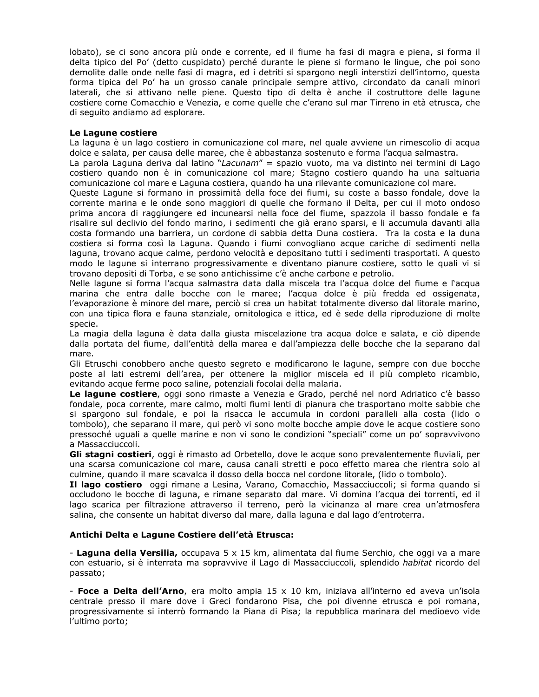lobato), se ci sono ancora più onde e corrente, ed il fiume ha fasi di magra e piena, si forma il delta tipico del Po' (detto cuspidato) perché durante le piene si formano le lingue, che poi sono demolite dalle onde nelle fasi di magra, ed i detriti si spargono negli interstizi dell'intorno, questa forma tipica del Po' ha un grosso canale principale sempre attivo, circondato da canali minori laterali, che si attivano nelle piene. Questo tipo di delta è anche il costruttore delle lagune costiere come Comacchio e Venezia, e come quelle che c'erano sul mar Tirreno in età etrusca, che di seguito andiamo ad esplorare.

### Le Lagune costiere

La laguna è un lago costiero in comunicazione col mare, nel quale avviene un rimescolio di acqua dolce e salata, per causa delle maree, che è abbastanza sostenuto e forma l'acqua salmastra.

La parola Laguna deriva dal latino "Lacunam" = spazio vuoto, ma va distinto nei termini di Lago costiero quando non è in comunicazione col mare; Stagno costiero quando ha una saltuaria comunicazione col mare e Laguna costiera, guando ha una rilevante comunicazione col mare.

Queste Lagune si formano in prossimità della foce dei fiumi, su coste a basso fondale, dove la corrente marina e le onde sono maggiori di quelle che formano il Delta, per cui il moto ondoso prima ancora di raggiungere ed incunearsi nella foce del fiume, spazzola il basso fondale e fa risalire sul declivio del fondo marino, i sedimenti che già erano sparsi, e li accumula davanti alla costa formando una barriera, un cordone di sabbia detta Duna costiera. Tra la costa e la duna costiera si forma così la Laguna. Quando i fiumi convogliano acque cariche di sedimenti nella laguna, trovano acque calme, perdono velocità e depositano tutti i sedimenti trasportati. A questo modo le lagune si interrano progressivamente e diventano pianure costiere, sotto le quali vi si trovano depositi di Torba, e se sono antichissime c'è anche carbone e petrolio.

Nelle lagune si forma l'acqua salmastra data dalla miscela tra l'acqua dolce del fiume e l'acqua marina che entra dalle bocche con le maree; l'acqua dolce è più fredda ed ossigenata, l'evaporazione è minore del mare, perciò si crea un habitat totalmente diverso dal litorale marino, con una tipica flora e fauna stanziale, ornitologica e ittica, ed è sede della riproduzione di molte specie.

La magia della laguna è data dalla giusta miscelazione tra acqua dolce e salata, e ciò dipende dalla portata del fiume, dall'entità della marea e dall'ampiezza delle bocche che la separano dal mare.

Gli Etruschi conobbero anche questo segreto e modificarono le lagune, sempre con due bocche poste al lati estremi dell'area, per ottenere la miglior miscela ed il più completo ricambio, evitando acque ferme poco saline, potenziali focolai della malaria.

Le lagune costiere, oggi sono rimaste a Venezia e Grado, perché nel nord Adriatico c'è basso fondale, poca corrente, mare calmo, molti fiumi lenti di pianura che trasportano molte sabbie che si spargono sul fondale, e poi la risacca le accumula in cordoni paralleli alla costa (lido o tombolo), che separano il mare, qui però vi sono molte bocche ampie dove le acque costiere sono pressoché uguali a quelle marine e non vi sono le condizioni "speciali" come un po' sopravvivono a Massacciuccoli.

Gli stagni costieri, oggi è rimasto ad Orbetello, dove le acque sono prevalentemente fluviali, per una scarsa comunicazione col mare, causa canali stretti e poco effetto marea che rientra solo al culmine, quando il mare scavalca il dosso della bocca nel cordone litorale, (lido o tombolo).

Il lago costiero oggi rimane a Lesina, Varano, Comacchio, Massacciuccoli; si forma quando si occludono le bocche di laguna, e rimane separato dal mare. Vi domina l'acqua dei torrenti, ed il lago scarica per filtrazione attraverso il terreno, però la vicinanza al mare crea un'atmosfera salina, che consente un habitat diverso dal mare, dalla laguna e dal lago d'entroterra.

### Antichi Delta e Lagune Costiere dell'età Etrusca:

- Laguna della Versilia, occupava 5 x 15 km, alimentata dal fiume Serchio, che oggi va a mare con estuario, si è interrata ma sopravvive il Lago di Massacciuccoli, splendido habitat ricordo del passato;

- Foce a Delta dell'Arno, era molto ampia 15 x 10 km, iniziava all'interno ed aveva un'isola centrale presso il mare dove i Greci fondarono Pisa, che poi divenne etrusca e poi romana, progressivamente si interrò formando la Piana di Pisa; la repubblica marinara del medioevo vide l'ultimo porto;